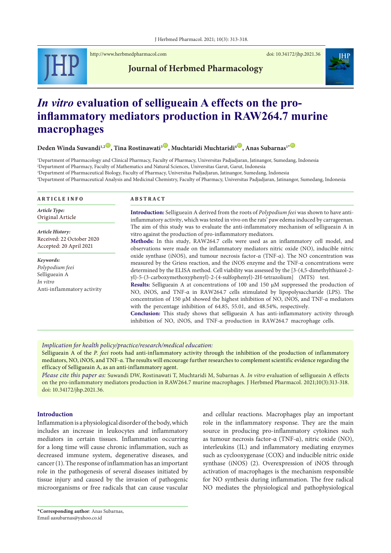

<http://www.herbmedpharmacol.com> doi: [10.34172/jhp.2021.36](https://doi.org/10.34172/jhp.2021.36)

# **Journal of Herbmed Pharmacology**

# *In vitro* **evaluation of selligueain A effects on the proinflammatory mediators production in RAW264.7 murine macrophages**

**Deden Winda Suwandi<sup>1,2</sup><sup>(D</sup>), Tina Rostinawati<sup>3</sup><sup>(D</sup>), Muchtaridi Muchtaridi<sup>4</sub><sup>(D</sup>), Anas Subarnas<sup>1</sup><sup>\*</sup>**</sup>

 Department of Pharmacology and Clinical Pharmacy, Faculty of Pharmacy, Universitas Padjadjaran, Jatinangor, Sumedang, Indonesia Department of Pharmacy, Faculty of Mathematics and Natural Sciences, Universitas Garut, Garut, Indonesia Department of Pharmaceutical Biology, Faculty of Pharmacy, Universitas Padjadjaran, Jatinangor, Sumedang, Indonesia Department of Pharmaceutical Analysis and Medicinal Chemistry, Faculty of Pharmacy, Universitas Padjadjaran, Jatinangor, Sumedang, Indonesia

### **A R T I C L E I N F O**

*Article Type:* Original Article

*Article History:* Received: 22 October 2020 Accepted: 20 April 2021

*Keywords: Polypodium feei* Selligueain A *In vitro* Anti-inflammatory activity

#### **A B S T R A C T**

**Introduction:** Selligueain A derived from the roots of *Polypodium feei* was shown to have antiinflammatory activity, which was tested in vivo on the rats' paw edema induced by carrageenan. The aim of this study was to evaluate the anti-inflammatory mechanism of selligueain A in vitro against the production of pro-inflammatory mediators. **Methods:** In this study, RAW264.7 cells were used as an inflammatory cell model, and observations were made on the inflammatory mediators nitric oxide (NO), inducible nitric oxide synthase (iNOS), and tumour necrosis factor-α (TNF-α). The NO concentration was measured by the Griess reaction, and the iNOS enzyme and the TNF-α concentrations were determined by the ELISA method. Cell viability was assessed by the [3-(4,5-dimethylthiazol-2-

yl)-5-(3-carboxymethoxyphenyl)-2-(4-sulfophenyl)-2H-tetrazolium] (MTS) test. **Results:** Selligueain A at concentrations of 100 and 150 µM suppressed the production of NO, iNOS, and TNF-α in RAW264.7 cells stimulated by lipopolysaccharide (LPS). The concentration of 150 µM showed the highest inhibition of NO, iNOS, and TNF-α mediators with the percentage inhibition of 64.85, 55.01, and 48.54%, respectively.

**Conclusion:** This study shows that selligueain A has anti-inflammatory activity through inhibition of NO, iNOS, and TNF-α production in RAW264.7 macrophage cells.

#### *Implication for health policy/practice/research/medical education:*

Selligueain A of the *P. feei* roots had anti-inflammatory activity through the inhibition of the production of inflammatory mediators, NO, iNOS, and TNF-α. The results will encourage further researches to complement scientific evidence regarding the efficacy of Selligueain A, as an anti-inflammatory agent.

*Please cite this paper as:* Suwandi DW, Rostinawati T, Muchtaridi M, Subarnas A. *In vitro* evaluation of selligueain A effects on the pro-inflammatory mediators production in RAW264.7 murine macrophages. J Herbmed Pharmacol. 2021;10(3):313-318. doi: 10.34172/jhp.2021.36.

#### **Introduction**

<span id="page-0-0"></span>Inflammation is a physiological disorder of the body, which includes an increase in leukocytes and inflammatory mediators in certain tissues. Inflammation occurring for a long time will cause chronic inflammation, such as decreased immune system, degenerative diseases, and cancer (1). The response of inflammation has an important role in the pathogenesis of several diseases initiated by tissue injury and caused by the invasion of pathogenic microorganisms or free radicals that can cause vascular

and cellular reactions. Macrophages play an important role in the inflammatory response. They are the main source in producing pro-inflammatory cytokines such as tumour necrosis factor-α (TNF-α), nitric oxide (NO), interleukins (IL) and inflammatory mediating enzymes such as cyclooxygenase (COX) and inducible nitric oxide synthase (iNOS) (2). Overexpression of iNOS through activation of macrophages is the mechanism responsible for NO synthesis during inflammation. The free radical NO mediates the physiological and pathophysiological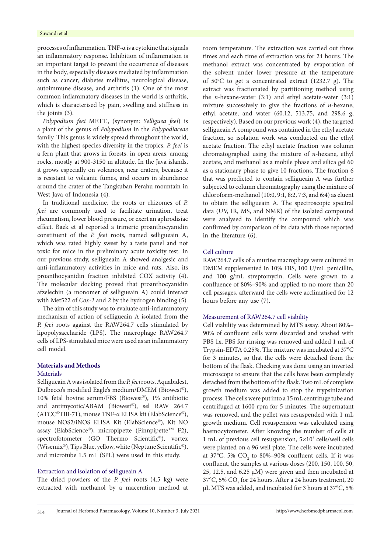#### Suwandi et al

processes of inflammation. TNF-α is a cytokine that signals an inflammatory response. Inhibition of inflammation is an important target to prevent the occurrence of diseases in the body, especially diseases mediated by inflammation such as cancer, diabetes mellitus, neurological disease, autoimmune disease, and arthritis (1). One of the most common inflammatory diseases in the world is arthritis, which is characterised by pain, swelling and stiffness in the joints (3).

*Polypodium feei* METT., (synonym: *Selliguea feei*) is a plant of the genus of *Polypodium* in the *Polypodiaceae* family. This genus is widely spread throughout the world, with the highest species diversity in the tropics. *P. feei* is a fern plant that grows in forests, in open areas, among rocks, mostly at 900-3150 m altitude. In the Java islands, it grows especially on volcanoes, near craters, because it is resistant to volcanic fumes, and occurs in abundance around the crater of the Tangkuban Perahu mountain in West Java of Indonesia (4).

In traditional medicine, the roots or rhizomes of *P. feei* are commonly used to facilitate urination, treat rheumatism, lower blood pressure, or exert an aphrodisiac effect. Baek et al reported a trimeric proanthocyanidin constituent of the *P. feei* roots, named selligueain A, which was rated highly sweet by a taste panel and not toxic for mice in the preliminary acute toxicity test. In our previous study, selligueain A showed analgesic and anti-inflammatory activities in mice and rats. Also, its proanthocyanidin fraction inhibited COX activity (4). The molecular docking proved that proanthocyanidin afzelechin (a monomer of selligueain A) could interact with Met522 of *Cox-1* and *2* by the hydrogen binding (5)*.*

The aim of this study was to evaluate anti-inflammatory mechanism of action of selligueain A isolated from the *P. feei* roots against the RAW264.7 cells stimulated by lipopolysaccharide (LPS). The macrophage RAW264.7 cells of LPS-stimulated mice were used as an inflammatory cell model.

# **Materials and Methods**

# **Materials**

Selligueain A was isolated from the *P. feei* roots. Aquabidest, Dulbecco's modified Eagle's medium/DMEM (Biowest®), 10% fetal bovine serum/FBS (Biowest®), 1% antibiotic and antimycotic/ABAM (Biowest®), sel RAW 264.7 (ATCC®TIB-71), mouse TNF-α ELISA kit (ElabScience®), mouse NOS2/iNOS ELISA Kit (ElabScience®), Kit NO assay (ElabScience®), micropipette (Finnpipette<sup>™</sup> F2), spectrofotometer (GO Thermo Scientific®), vortex (Wisemix®), Tips Blue, yellow, white (Neptune Scientific®), and microtube 1.5 mL (SPL) were used in this study.

# Extraction and isolation of selligueain A

The dried powders of the *P. feei* roots (4.5 kg) were extracted with methanol by a maceration method at room temperature. The extraction was carried out three times and each time of extraction was for 24 hours. The methanol extract was concentrated by evaporation of the solvent under lower pressure at the temperature of 50°C to get a concentrated extract (1232.7 g). The extract was fractionated by partitioning method using the *n*-hexane-water (3:1) and ethyl acetate-water (3:1) mixture successively to give the fractions of *n*-hexane, ethyl acetate, and water (60.12, 513.75, and 298.6 g, respectively). Based on our previous work (4), the targeted selligueain A compound was contained in the ethyl acetate fraction, so isolation work was conducted on the ethyl acetate fraction. The ethyl acetate fraction was column chromatographed using the mixture of *n*-hexane, ethyl acetate, and methanol as a mobile phase and silica gel 60 as a stationary phase to give 10 fractions. The fraction 6 that was predicted to contain selligueain A was further subjected to column chromatography using the mixture of chloroform-methanol (10:0, 9:1, 8:2, 7:3, and 6:4) as eluent to obtain the selligueain A. The spectroscopic spectral data (UV, IR, MS, and NMR) of the isolated compound were analysed to identify the compound which was confirmed by comparison of its data with those reported in the literature (6).

#### Cell culture

RAW264.7 cells of a murine macrophage were cultured in DMEM supplemented in 10% FBS, 100 U/mL penicillin, and 100 g/mL streptomycin. Cells were grown to a confluence of 80%–90% and applied to no more than 20 cell passages, afterward the cells were acclimatised for 12 hours before any use (7).

#### Measurement of RAW264.7 cell viability

Cell viability was determined by MTS assay. About 80%– 90% of confluent cells were discarded and washed with PBS 1x. PBS for rinsing was removed and added 1 mL of Trypsin-EDTA 0.25%. The mixture was incubated at 37°C for 3 minutes, so that the cells were detached from the bottom of the flask. Checking was done using an inverted microscope to ensure that the cells have been completely detached from the bottom of the flask. Two mL of complete growth medium was added to stop the trypsinization process. The cells were put into a 15 mL centrifuge tube and centrifuged at 1600 rpm for 5 minutes. The supernatant was removed, and the pellet was resuspended with 1 mL growth medium. Cell resuspension was calculated using haemocytometer. After knowing the number of cells at 1 mL of previous cell resuspension,  $5 \times 10^3$  cells/well cells were planted on a 96 well plate. The cells were incubated at 37°C, 5%  $CO_2$  to 80%–90% confluent cells. If it was confluent, the samples at various doses (200, 150, 100, 50, 25, 12.5, and 6.25 µM) were given and then incubated at 37°C, 5%  $\rm CO_2$  for 24 hours. After a 24 hours treatment, 20 μL MTS was added, and incubated for 3 hours at 37°C, 5%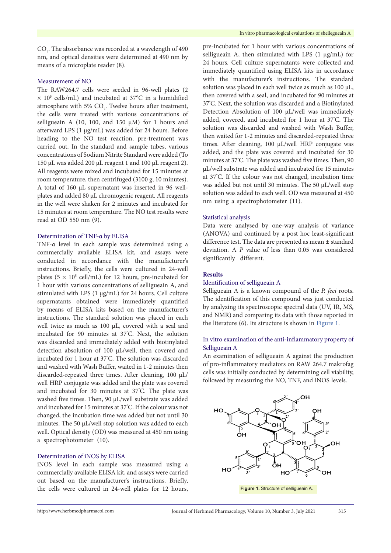$\mathrm{CO}_2$ . The absorbance was recorded at a wavelength of 490 nm, and optical densities were determined at 490 nm by means of a microplate reader (8).

# Measurement of NO

The RAW264.7 cells were seeded in 96-well plates (2  $\times$  10<sup>5</sup> cells/mL) and incubated at 37 $\mathrm{^{\circ}C}$  in a humidified atmosphere with 5%  $CO<sub>2</sub>$ . Twelve hours after treatment, the cells were treated with various concentrations of selligueain A (10, 100, and 150  $\mu$ M) for 1 hours and afterward LPS (1 µg/mL) was added for 24 hours. Before heading to the NO test reaction, pre-treatment was carried out. In the standard and sample tubes, various concentrations of Sodium Nitrite Standard were added (To 150 µL was added 200 µL reagent 1 and 100 µL reagent 2). All reagents were mixed and incubated for 15 minutes at room temperature, then centrifuged (3100 g, 10 minutes). A total of 160 μL supernatant was inserted in 96 wellplates and added 80 μL chromogenic reagent. All reagents in the well were shaken for 2 minutes and incubated for 15 minutes at room temperature. The NO test results were read at OD 550 nm (9).

#### Determination of TNF-α by ELISA

TNF-α level in each sample was determined using a commercially available ELISA kit, and assays were conducted in accordance with the manufacturer's instructions. Briefly, the cells were cultured in 24-well plates ( $5 \times 10^5$  cell/mL) for 12 hours, pre-incubated for 1 hour with various concentrations of selligueain A, and stimulated with LPS (1 µg/mL) for 24 hours. Cell culture supernatants obtained were immediately quantified by means of ELISA kits based on the manufacturer's instructions. The standard solution was placed in each well twice as much as 100 µL, covered with a seal and incubated for 90 minutes at 37° C. Next, the solution was discarded and immediately added with biotinylated detection absolution of 100 µL/well, then covered and incubated for 1 hour at 37° C. The solution was discarded and washed with Wash Buffer, waited in 1-2 minutes then discarded-repeated three times. After cleaning, 100 µL/ well HRP conjugate was added and the plate was covered and incubated for 30 minutes at 37° C. The plate was washed five times. Then, 90 µL/well substrate was added and incubated for 15 minutes at 37° C. If the colour was not changed, the incubation time was added but not until 30 minutes. The 50 µL/well stop solution was added to each well. Optical density (OD) was measured at 450 nm using a spectrophotometer (10).

# Determination of iNOS by ELISA

iNOS level in each sample was measured using a commercially available ELISA kit, and assays were carried out based on the manufacturer's instructions. Briefly, the cells were cultured in 24-well plates for 12 hours,

pre-incubated for 1 hour with various concentrations of selligueain A, then stimulated with LPS  $(1 \mu g/mL)$  for 24 hours. Cell culture supernatants were collected and immediately quantified using ELISA kits in accordance with the manufacturer's instructions. The standard solution was placed in each well twice as much as 100 µL, then covered with a seal, and incubated for 90 minutes at 37° C. Next, the solution was discarded and a Biotinylated Detection Absolution of 100 µL/well was immediately added, covered, and incubated for 1 hour at 37° C. The solution was discarded and washed with Wash Buffer, then waited for 1-2 minutes and discarded-repeated three times. After cleaning, 100 µL/well HRP conjugate was added, and the plate was covered and incubated for 30 minutes at 37° C. The plate was washed five times. Then, 90 µL/well substrate was added and incubated for 15 minutes at 37° C. If the colour was not changed, incubation time was added but not until 30 minutes. The 50 µL/well stop solution was added to each well. OD was measured at 450 nm using a spectrophotometer (11).

#### Statistical analysis

Data were analysed by one-way analysis of variance (ANOVA) and continued by a post hoc least-significant difference test. The data are presented as mean ± standard deviation. A *P* value of less than 0.05 was considered significantly different.

#### **Results**

#### Identification of selligueain A

Selligueain A is a known compound of the *P. feei* roots. The identification of this compound was just conducted by analyzing its spectroscopic spectral data (UV, IR, MS, and NMR) and comparing its data with those reported in the literature (6). Its structure is shown in [Figure](#page-0-0) 1.

# In vitro examination of the anti-inflammatory property of Selligueain A

An examination of selligueain A against the production of pro-inflammatory mediators on RAW 264.7 makrofag cells was initially conducted by determining cell viability, followed by measuring the NO, TNF, and iNOS levels.



**Figure 1.** Structure of selligueain A.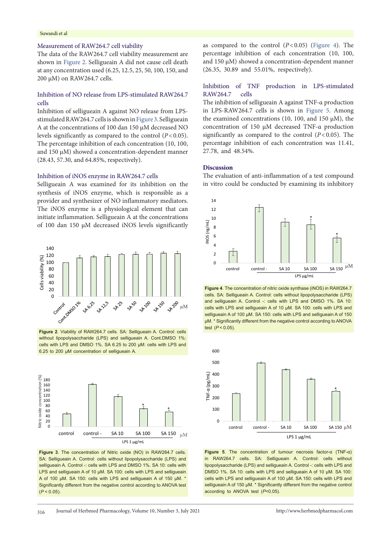#### Suwandi et al

# Measurement of RAW264.7 cell viability

The data of the RAW264.7 cell viability measurement are shown in [Figure](#page-3-0) 2. Selligueain A did not cause cell death at any concentration used (6.25, 12.5, 25, 50, 100, 150, and 200 µM) on RAW264.7 cells.

# Inhibition of NO release from LPS-stimulated RAW264.7 cells

Inhibition of selligueain A against NO release from LPSstimulated RAW264.7 cells is shown in [Figure](#page-3-1) 3. Selligueain A at the concentrations of 100 dan 150 µM decreased NO levels significantly as compared to the control (*P*<0.05). The percentage inhibition of each concentration (10, 100, and 150 µM) showed a concentration-dependent manner (28.43, 57.30, and 64.85%, respectively).

#### Inhibition of iNOS enzyme in RAW264.7 cells

Selligueain A was examined for its inhibition on the synthesis of iNOS enzyme, which is responsible as a provider and synthesizer of NO inflammatory mediators. The iNOS enzyme is a physiological element that can initiate inflammation. Selligueain A at the concentrations of 100 dan 150 µM decreased iNOS levels significantly

<span id="page-3-0"></span>

**Figure 2**. Viability of RAW264.7 cells. SA: Selligueain A. Control: cells without lipopolysaccharide (LPS) and selligueain A. Cont.DMSO 1%: cells with LPS and DMSO 1%. SA 6.25 to 200 µM: cells with LPS and 6.25 to 200 µM concentration of selligueain A.

<span id="page-3-1"></span>

**Figure 3**. The concentration of Nitric oxide (NO) in RAW264.7 cells. SA: Selligueain A. Control: cells without lipopolysaccharide (LPS) and selligueain A. Control -: cells with LPS and DMSO 1%. SA 10: cells with LPS and selliqueain A of 10 µM. SA 100: cells with LPS and selliqueain A of 100 µM. SA 150: cells with LPS and selligueain A of 150 µM. \* Significantly different from the negative control according to ANOVA test (*P* < 0.05).

as compared to the control  $(P<0.05)$  ([Figure](#page-3-2) 4). The percentage inhibition of each concentration (10, 100, and 150 µM) showed a concentration-dependent manner (26.35, 30.89 and 55.01%, respectively).

# Inhibition of TNF production in LPS-stimulated RAW264.7 cells

The inhibition of selligueain A against TNF-α production in LPS-RAW264.7 cells is shown in [Figure](#page-3-3) 5. Among the examined concentrations (10, 100, and 150  $\mu$ M), the concentration of 150 µM decreased TNF-α production significantly as compared to the control (*P*<0.05). The percentage inhibition of each concentration was 11.41, 27.78, and 48.54%.

#### **Discussion**

The evaluation of anti-inflammation of a test compound in vitro could be conducted by examining its inhibitory

<span id="page-3-2"></span>

**Figure 4**. The concentration of nitric oxide synthase (iNOS) in RAW264.7 cells. SA: Selligueain A. Control: cells without lipopolysaccharide (LPS) and selligueain A. Control -: cells with LPS and DMSO 1%. SA 10: cells with LPS and selligueain A of 10 µM. SA 100: cells with LPS and selligueain A of 100 µM. SA 150: cells with LPS and selligueain A of 150 µM. \* Significantly different from the negative control according to ANOVA test (*P* < 0.05).

<span id="page-3-3"></span>

**Figure 5**. The concentration of tumour necrosis factor-α (TNF-α) in RAW264.7 cells. SA: Selligueain A. Control: cells without lipopolysaccharide (LPS) and selligueain A. Control -: cells with LPS and DMSO 1%. SA 10: cells with LPS and selligueain A of 10 µM. SA 100: cells with LPS and selligueain A of 100 µM. SA 150: cells with LPS and selligueain A of 150 µM. \* Significantly different from the negative control according to ANOVA test (*P*<0.05).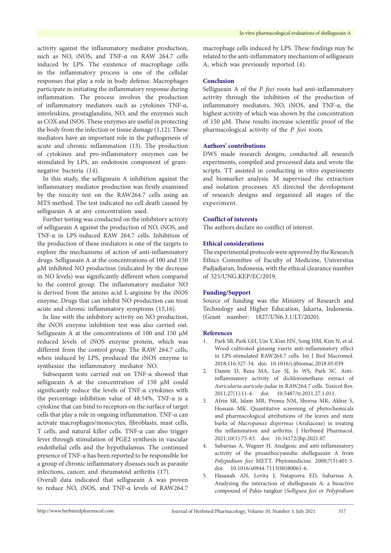activity against the inflammatory mediator production, such as NO, iNOS, and TNF-α on RAW 264.7 cells induced by LPS. The existence of macrophage cells in the inflammatory process is one of the cellular responses that play a role in body defense. Macrophages participate in initiating the inflammatory response during inflammation. The process involves the production of inflammatory mediators such as cytokines TNF-α, interleukins, prostaglandins, NO, and the enzymes such as COX and iNOS. These enzymes are useful in protecting the body from the infection or tissue damage (1,12). These mediators have an important role in the pathogenesis of acute and chronic inflammation (13). The production of cytokines and pro-inflammatory enzymes can be stimulated by LPS, an endotoxin component of gramnegative bacteria (14).

In this study, the selligueain A inhibition against the inflammatory mediator production was firstly examined by the toxicity test on the RAW264.7 cells using an MTS method. The test indicated no cell death caused by selligueain A at any concentration used.

Further testing was conducted on the inhibitory activity of selligueain A against the production of NO, iNOS, and TNF-α in LPS-induced RAW 264.7 cells. Inhibition of the production of these mediators is one of the targets to explore the mechanisms of action of anti-inflammatory drugs. Selligueain A at the concentrations of 100 and 150 µM inhibited NO production (indicated by the decrease in NO levels) was significantly different when compared to the control group. The inflammatory mediator NO is derived from the amino acid L-arginine by the iNOS enzyme. Drugs that can inhibit NO production can treat acute and chronic inflammatory symptoms (15,16).

In line with the inhibitory activity on NO production, the iNOS enzyme inhibition test was also carried out. Selligueain A at the concentrations of 100 and 150  $\mu$ M reduced levels of iNOS enzyme protein, which was different from the control group. The RAW 264.7 cells, when induced by LPS, produced the iNOS enzyme to synthesize the inflammatory mediator NO.

Subsequent tests carried out on TNF-α showed that selligueain A at the concentration of 150 µM could significantly reduce the levels of TNF-α cytokines with the percentage inhibition value of 48.54%. TNF-α is a cytokine that can bind to receptors on the surface of target cells that play a role in ongoing inflammation. TNF-α can activate macrophages/monocytes, fibroblasts, mast cells, T cells, and natural killer cells. TNF-α can also trigger fever through stimulation of PGE2 synthesis in vascular endothelial cells and the hypothalamus. The continued presence of TNF-α has been reported to be responsible for a group of chronic inflammatory diseases such as parasite infections, cancer, and rheumatoid arthritis (17).

Overall data indicated that selligueain A was proven to reduce NO, iNOS, and TNF-α levels of RAW264.7

macrophage cells induced by LPS. These findings may be related to the anti-inflammatory mechanism of selligueain A, which was previously reported (4).

#### **Conclusion**

Selligueain A of the *P. feei* roots had anti-inflammatory activity through the inhibition of the production of inflammatory mediators, NO, iNOS, and TNF-α, the highest activity of which was shown by the concentration of 150 µM. These results increase scientific proof of the pharmacological activity of the *P. feei* roots.

#### **Authors' contributions**

DWS made research designs, conducted all research experiments, compiled and processed data and wrote the scripts. TT assisted in conducting in vitro experiments and biomarker analysis. M supervised the extraction and isolation processes. AS directed the development of research designs and organized all stages of the experiment.

# **Conflict of interests**

The authors declare no conflict of interest.

# **Ethical considerations**

The experimental protocols were approved by the Research Ethics Committee of Faculty of Medicine, Universitas Padjadjaran, Indonesia, with the ethical clearance number of 325/UNG.KEP/EC/2019.

### **Funding/Support**

Source of funding was the Ministry of Research and Technology and Higher Education, Jakarta, Indonesia. (Grant number: 1827/UN6.3.1/LT/2020).

#### **References**

- 1. Park SB, Park GH, Um Y, Kim HN, Song HM, Kim N, et al. Wood-cultivated ginseng exerts anti-inflammatory effect in LPS-stimulated RAW264.7 cells. Int J Biol Macromol. 2018;116:327-34. doi: 10.1016/j.ijbiomac.2018.05.039.
- 2. Damte D, Reza MA, Lee SJ, Jo WS, Park SC. Antiinflammatory activity of dichloromethane extract of *Auricularia auricula-judae* in RAW264.7 cells. Toxicol Res. 2011;27(1):11-4. doi: 10.5487/tr.2011.27.1.011.
- 3. Afrin SR, Islam MR, Proma NM, Shorna MK, Akbar S, Hossain MK. Quantitative screening of phytochemicals and pharmacological attributions of the leaves and stem barks of *Macropanax dispermus* (Araliaceae) in treating the inflammation and arthritis. J Herbmed Pharmacol. 2021;10(1):75-83. doi: 10.34172/jhp.2021.07.
- 4. Subarnas A, Wagner H. Analgesic and anti-inflammatory activity of the proanthocyanidin shellegueain A from *Polypodium feei* METT. Phytomedicine. 2000;7(5):401-5. doi: 10.1016/s0944-7113(00)80061-6.
- 5. Hasanah AN, Levita J, Natapoera ED, Subarnas A. Analyzing the interaction of shellegueain A: a bioactive compound of Pakis tangkur (*Selliguea feei* or *Polypodium*